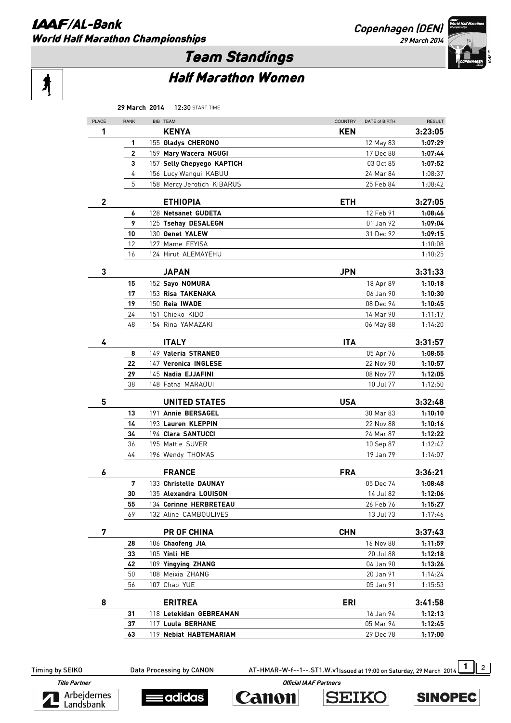#### **IAAF/AL-Bank** World Half Marathon Championships

**Copenhagen (DEN) 29 March 2014** 



# Team Standings

# Ą

## Half Marathon Women

|              | 29 March 2014 | <b>12:30 START TIME</b>                    |                |                        |                    |
|--------------|---------------|--------------------------------------------|----------------|------------------------|--------------------|
| PLACE        | <b>RANK</b>   | BIB TEAM                                   | <b>COUNTRY</b> | DATE of BIRTH          | <b>RESULT</b>      |
| 1            |               | <b>KENYA</b>                               | <b>KEN</b>     |                        | 3:23:05            |
|              | 1             | 155 Gladys CHERONO                         |                | 12 May 83              | 1:07:29            |
|              | 2             | 159 Mary Wacera NGUGI                      |                | 17 Dec 88              | 1:07:44            |
|              | 3             | 157 Selly Chepyego KAPTICH                 |                | 03 Oct 85              | 1:07:52            |
|              | 4             | 156 Lucy Wangui KABUU                      |                | 24 Mar 84              | 1:08:37            |
|              | 5             | 158 Mercy Jerotich KIBARUS                 |                | 25 Feb 84              | 1:08:42            |
|              |               |                                            |                |                        |                    |
| $\mathbf{2}$ |               | <b>ETHIOPIA</b>                            | <b>ETH</b>     |                        | 3:27:05            |
|              | 6             | 128 Netsanet GUDETA<br>125 Tsehay DESALEGN |                | 12 Feb 91              | 1:08:46            |
|              | 9<br>10       | 130 Genet YALEW                            |                | 01 Jan 92<br>31 Dec 92 | 1:09:04<br>1:09:15 |
|              | 12            | 127 Mame FEYISA                            |                |                        | 1:10:08            |
|              | 16            | 124 Hirut ALEMAYEHU                        |                |                        | 1:10:25            |
|              |               |                                            |                |                        |                    |
| 3            |               | <b>JAPAN</b>                               | <b>JPN</b>     |                        | 3:31:33            |
|              | 15            | 152 Sayo NOMURA                            |                | 18 Apr 89              | 1:10:18            |
|              | 17            | 153 Risa TAKENAKA                          |                | 06 Jan 90              | 1:10:30            |
|              | 19            | 150 Reia IWADE                             |                | 08 Dec 94              | 1:10:45            |
|              | 24            | 151 Chieko KIDO                            |                | 14 Mar 90              | 1:11:17            |
|              | 48            | 154 Rina YAMAZAKI                          |                | 06 May 88              | 1:14:20            |
| 4            |               | <b>ITALY</b>                               | <b>ITA</b>     |                        | 3:31:57            |
|              | 8             | 149 Valeria STRANEO                        |                | 05 Apr 76              | 1:08:55            |
|              | 22            | 147 Veronica INGLESE                       |                | 22 Nov 90              | 1:10:57            |
|              | 29            | 145 Nadia EJJAFINI                         |                | 08 Nov 77              | 1:12:05            |
|              | 38            | 148 Fatna MARAOUI                          |                | 10 Jul 77              | 1:12:50            |
|              |               |                                            |                |                        |                    |
| 5            |               | <b>UNITED STATES</b>                       | <b>USA</b>     |                        | 3:32:48            |
|              | 13            | 191 Annie BERSAGEL                         |                | 30 Mar 83              | 1:10:10            |
|              | 14            | 193 Lauren KLEPPIN                         |                | 22 Nov 88              | 1:10:16            |
|              | 34            | 194 Clara SANTUCCI                         |                | 24 Mar 87              | 1:12:22            |
|              | 36            | 195 Mattie SUVER                           |                | 10 Sep 87              | 1:12:42            |
|              | 44            | 196 Wendy THOMAS                           |                | 19 Jan 79              | 1:14:07            |
| 6            |               | <b>FRANCE</b>                              | <b>FRA</b>     |                        | 3:36:21            |
|              | 7             | 133 Christelle DAUNAY                      |                | 05 Dec 74              | 1:08:48            |
|              | 30            | 135 Alexandra LOUISON                      |                | 14 Jul 82              | 1:12:06            |
|              | 55            | 134 Corinne HERBRETEAU                     |                | 26 Feb 76              | 1:15:27            |
|              | 69            | 132 Aline CAMBOULIVES                      |                | 13 Jul 73              | 1:17:46            |
| 7            |               | <b>PR OF CHINA</b>                         | <b>CHN</b>     |                        | 3:37:43            |
|              | 28            | 106 Chaofeng JIA                           |                | 16 Nov 88              | 1:11:59            |
|              | 33            | 105 Yinli HE                               |                | 20 Jul 88              | 1:12:18            |
|              | 42            | 109 Yingying ZHANG                         |                | 04 Jan 90              | 1:13:26            |
|              | 50            | 108 Meixia ZHANG                           |                | 20 Jan 91              | 1:14:24            |
|              | 56            | 107 Chao YUE                               |                | 05 Jan 91              | 1:15:53            |
|              |               |                                            |                |                        |                    |
| 8            |               | <b>ERITREA</b>                             | <b>ERI</b>     |                        | 3:41:58            |
|              | 31            | 118 Letekidan GEBREAMAN                    |                | 16 Jan 94              | 1:12:13            |
|              | 37            | 117 Luula BERHANE                          |                | 05 Mar 94              | 1:12:45            |
|              | 63            | 119 Nebiat HABTEMARIAM                     |                | 29 Dec 78              | 1:17:00            |

Timing by SEIKO Data Processing by CANON AT-HMAR-W-f--1--.ST1.W.v1Issued at 19:00 on Saturday, 29 March 2014 1 2